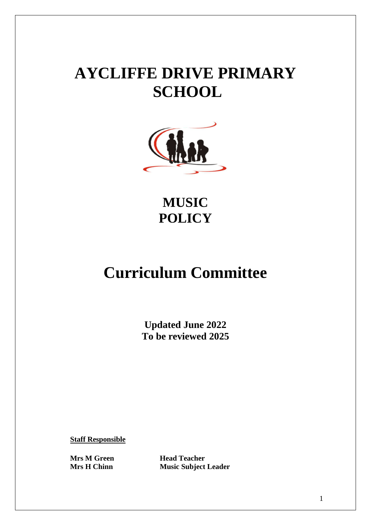# **AYCLIFFE DRIVE PRIMARY SCHOOL**



**MUSIC POLICY**

## **Curriculum Committee**

**Updated June 2022 To be reviewed 2025**

**Staff Responsible**

**Mrs M Green Head Teacher Mrs H Chinn Music Subject Leader**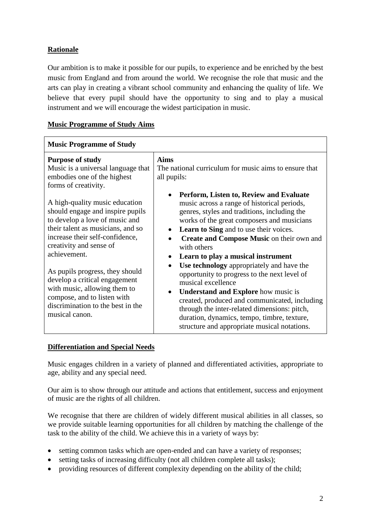## **Rationale**

Our ambition is to make it possible for our pupils, to experience and be enriched by the best music from England and from around the world. We recognise the role that music and the arts can play in creating a vibrant school community and enhancing the quality of life. We believe that every pupil should have the opportunity to sing and to play a musical instrument and we will encourage the widest participation in music.

## **Music Programme of Study Aims**

| <b>Music Programme of Study</b>                                                                                                                                                                                                                                                                                                                                                                                                                                                                                                           |                                                                                                                                                                                                                                                                                                                                                                                                                                                                                                                                                                                                                                                                                                                                                                    |
|-------------------------------------------------------------------------------------------------------------------------------------------------------------------------------------------------------------------------------------------------------------------------------------------------------------------------------------------------------------------------------------------------------------------------------------------------------------------------------------------------------------------------------------------|--------------------------------------------------------------------------------------------------------------------------------------------------------------------------------------------------------------------------------------------------------------------------------------------------------------------------------------------------------------------------------------------------------------------------------------------------------------------------------------------------------------------------------------------------------------------------------------------------------------------------------------------------------------------------------------------------------------------------------------------------------------------|
| <b>Purpose of study</b><br>Music is a universal language that<br>embodies one of the highest<br>forms of creativity.<br>A high-quality music education<br>should engage and inspire pupils<br>to develop a love of music and<br>their talent as musicians, and so<br>increase their self-confidence,<br>creativity and sense of<br>achievement.<br>As pupils progress, they should<br>develop a critical engagement<br>with music, allowing them to<br>compose, and to listen with<br>discrimination to the best in the<br>musical canon. | <b>Aims</b><br>The national curriculum for music aims to ensure that<br>all pupils:<br>Perform, Listen to, Review and Evaluate<br>music across a range of historical periods,<br>genres, styles and traditions, including the<br>works of the great composers and musicians<br>Learn to Sing and to use their voices.<br>Create and Compose Music on their own and<br>with others<br>Learn to play a musical instrument<br>Use technology appropriately and have the<br>$\bullet$<br>opportunity to progress to the next level of<br>musical excellence<br><b>Understand and Explore</b> how music is<br>$\bullet$<br>created, produced and communicated, including<br>through the inter-related dimensions: pitch,<br>duration, dynamics, tempo, timbre, texture, |
|                                                                                                                                                                                                                                                                                                                                                                                                                                                                                                                                           | structure and appropriate musical notations.                                                                                                                                                                                                                                                                                                                                                                                                                                                                                                                                                                                                                                                                                                                       |

## **Differentiation and Special Needs**

Music engages children in a variety of planned and differentiated activities, appropriate to age, ability and any special need.

Our aim is to show through our attitude and actions that entitlement, success and enjoyment of music are the rights of all children.

We recognise that there are children of widely different musical abilities in all classes, so we provide suitable learning opportunities for all children by matching the challenge of the task to the ability of the child. We achieve this in a variety of ways by:

- setting common tasks which are open-ended and can have a variety of responses;
- setting tasks of increasing difficulty (not all children complete all tasks);
- providing resources of different complexity depending on the ability of the child;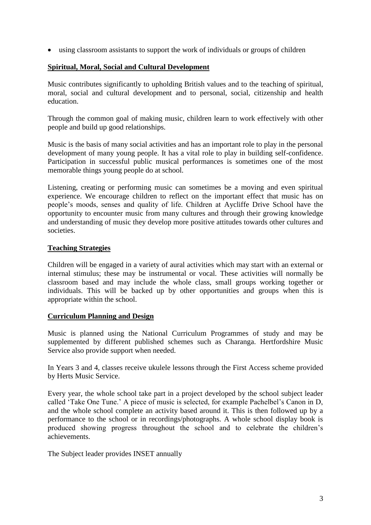using classroom assistants to support the work of individuals or groups of children

### **Spiritual, Moral, Social and Cultural Development**

Music contributes significantly to upholding British values and to the teaching of spiritual, moral, social and cultural development and to personal, social, citizenship and health education.

Through the common goal of making music, children learn to work effectively with other people and build up good relationships.

Music is the basis of many social activities and has an important role to play in the personal development of many young people. It has a vital role to play in building self-confidence. Participation in successful public musical performances is sometimes one of the most memorable things young people do at school.

Listening, creating or performing music can sometimes be a moving and even spiritual experience. We encourage children to reflect on the important effect that music has on people's moods, senses and quality of life. Children at Aycliffe Drive School have the opportunity to encounter music from many cultures and through their growing knowledge and understanding of music they develop more positive attitudes towards other cultures and societies.

#### **Teaching Strategies**

Children will be engaged in a variety of aural activities which may start with an external or internal stimulus; these may be instrumental or vocal. These activities will normally be classroom based and may include the whole class, small groups working together or individuals. This will be backed up by other opportunities and groups when this is appropriate within the school.

#### **Curriculum Planning and Design**

Music is planned using the National Curriculum Programmes of study and may be supplemented by different published schemes such as Charanga. Hertfordshire Music Service also provide support when needed.

In Years 3 and 4, classes receive ukulele lessons through the First Access scheme provided by Herts Music Service.

Every year, the whole school take part in a project developed by the school subject leader called 'Take One Tune.' A piece of music is selected, for example Pachelbel's Canon in D, and the whole school complete an activity based around it. This is then followed up by a performance to the school or in recordings/photographs. A whole school display book is produced showing progress throughout the school and to celebrate the children's achievements.

The Subject leader provides INSET annually